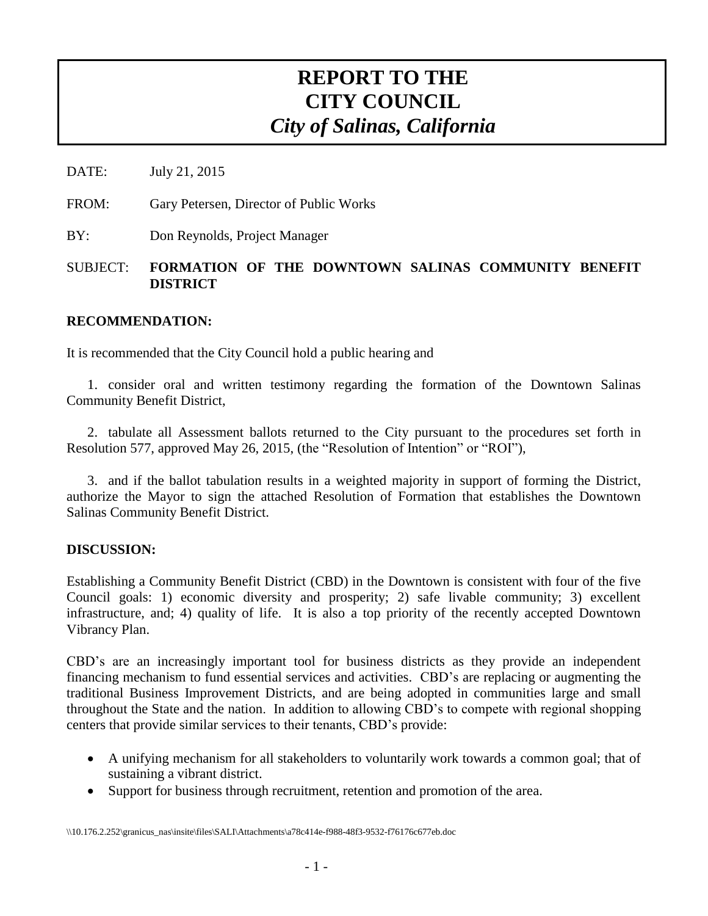# **REPORT TO THE CITY COUNCIL** *City of Salinas, California*

DATE: July 21, 2015

FROM: Gary Petersen, Director of Public Works

BY: Don Reynolds, Project Manager

## SUBJECT: **FORMATION OF THE DOWNTOWN SALINAS COMMUNITY BENEFIT DISTRICT**

### **RECOMMENDATION:**

It is recommended that the City Council hold a public hearing and

1. consider oral and written testimony regarding the formation of the Downtown Salinas Community Benefit District,

2. tabulate all Assessment ballots returned to the City pursuant to the procedures set forth in Resolution 577, approved May 26, 2015, (the "Resolution of Intention" or "ROI"),

3. and if the ballot tabulation results in a weighted majority in support of forming the District, authorize the Mayor to sign the attached Resolution of Formation that establishes the Downtown Salinas Community Benefit District.

#### **DISCUSSION:**

Establishing a Community Benefit District (CBD) in the Downtown is consistent with four of the five Council goals: 1) economic diversity and prosperity; 2) safe livable community; 3) excellent infrastructure, and; 4) quality of life. It is also a top priority of the recently accepted Downtown Vibrancy Plan.

CBD's are an increasingly important tool for business districts as they provide an independent financing mechanism to fund essential services and activities. CBD's are replacing or augmenting the traditional Business Improvement Districts, and are being adopted in communities large and small throughout the State and the nation. In addition to allowing CBD's to compete with regional shopping centers that provide similar services to their tenants, CBD's provide:

- A unifying mechanism for all stakeholders to voluntarily work towards a common goal; that of sustaining a vibrant district.
- Support for business through recruitment, retention and promotion of the area.

\\10.176.2.252\granicus\_nas\insite\files\SALI\Attachments\a78c414e-f988-48f3-9532-f76176c677eb.doc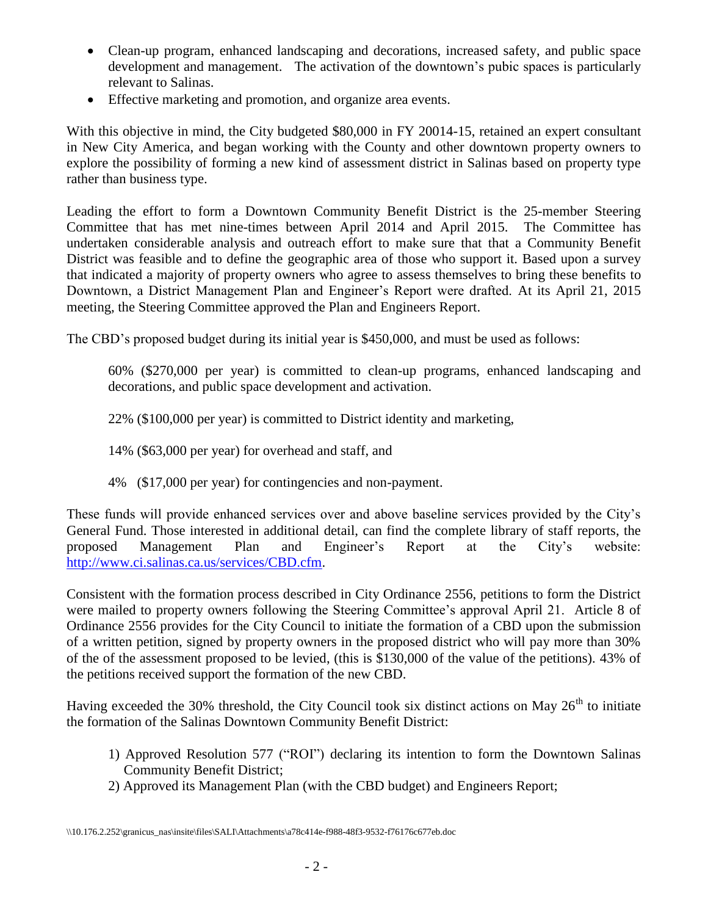- Clean-up program, enhanced landscaping and decorations, increased safety, and public space development and management. The activation of the downtown's pubic spaces is particularly relevant to Salinas.
- Effective marketing and promotion, and organize area events.

With this objective in mind, the City budgeted \$80,000 in FY 20014-15, retained an expert consultant in New City America, and began working with the County and other downtown property owners to explore the possibility of forming a new kind of assessment district in Salinas based on property type rather than business type.

Leading the effort to form a Downtown Community Benefit District is the 25-member Steering Committee that has met nine-times between April 2014 and April 2015. The Committee has undertaken considerable analysis and outreach effort to make sure that that a Community Benefit District was feasible and to define the geographic area of those who support it. Based upon a survey that indicated a majority of property owners who agree to assess themselves to bring these benefits to Downtown, a District Management Plan and Engineer's Report were drafted. At its April 21, 2015 meeting, the Steering Committee approved the Plan and Engineers Report.

The CBD's proposed budget during its initial year is \$450,000, and must be used as follows:

60% (\$270,000 per year) is committed to clean-up programs, enhanced landscaping and decorations, and public space development and activation.

22% (\$100,000 per year) is committed to District identity and marketing,

14% (\$63,000 per year) for overhead and staff, and

4% (\$17,000 per year) for contingencies and non-payment.

These funds will provide enhanced services over and above baseline services provided by the City's General Fund. Those interested in additional detail, can find the complete library of staff reports, the proposed Management Plan and Engineer's Report at the City's website: [http://www.ci.salinas.ca.us/services/CBD.cfm.](http://www.ci.salinas.ca.us/services/CBD.cfm)

Consistent with the formation process described in City Ordinance 2556, petitions to form the District were mailed to property owners following the Steering Committee's approval April 21. Article 8 of Ordinance 2556 provides for the City Council to initiate the formation of a CBD upon the submission of a written petition, signed by property owners in the proposed district who will pay more than 30% of the of the assessment proposed to be levied, (this is \$130,000 of the value of the petitions). 43% of the petitions received support the formation of the new CBD.

Having exceeded the 30% threshold, the City Council took six distinct actions on May 26<sup>th</sup> to initiate the formation of the Salinas Downtown Community Benefit District:

- 1) Approved Resolution 577 ("ROI") declaring its intention to form the Downtown Salinas Community Benefit District;
- 2) Approved its Management Plan (with the CBD budget) and Engineers Report;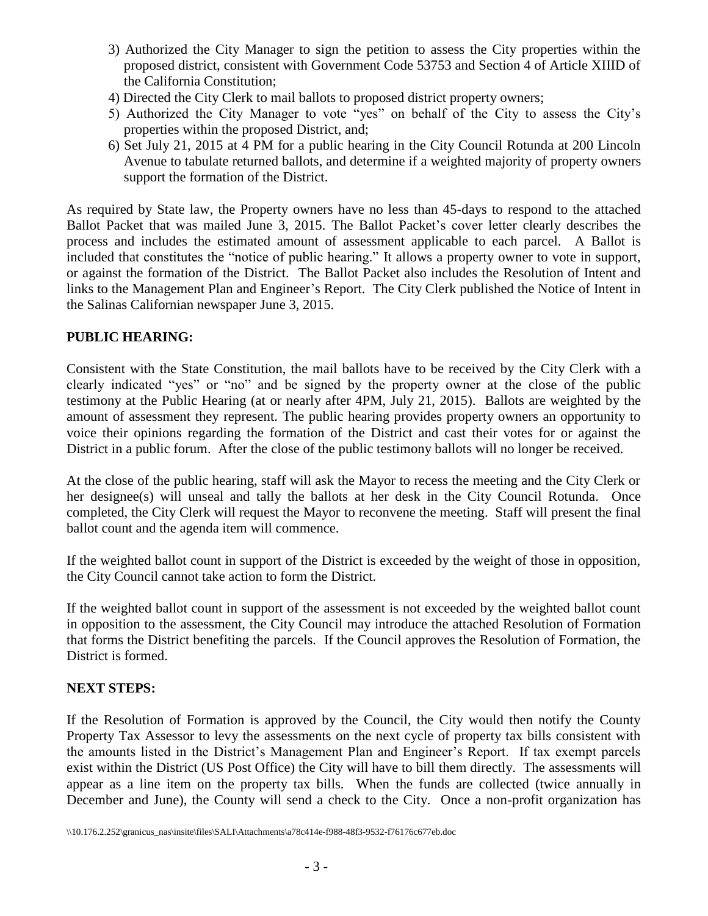- 3) Authorized the City Manager to sign the petition to assess the City properties within the proposed district, consistent with Government Code 53753 and Section 4 of Article XIIID of the California Constitution;
- 4) Directed the City Clerk to mail ballots to proposed district property owners;
- 5) Authorized the City Manager to vote "yes" on behalf of the City to assess the City's properties within the proposed District, and;
- 6) Set July 21, 2015 at 4 PM for a public hearing in the City Council Rotunda at 200 Lincoln Avenue to tabulate returned ballots, and determine if a weighted majority of property owners support the formation of the District.

As required by State law, the Property owners have no less than 45-days to respond to the attached Ballot Packet that was mailed June 3, 2015. The Ballot Packet's cover letter clearly describes the process and includes the estimated amount of assessment applicable to each parcel. A Ballot is included that constitutes the "notice of public hearing." It allows a property owner to vote in support, or against the formation of the District. The Ballot Packet also includes the Resolution of Intent and links to the Management Plan and Engineer's Report. The City Clerk published the Notice of Intent in the Salinas Californian newspaper June 3, 2015.

## **PUBLIC HEARING:**

Consistent with the State Constitution, the mail ballots have to be received by the City Clerk with a clearly indicated "yes" or "no" and be signed by the property owner at the close of the public testimony at the Public Hearing (at or nearly after 4PM, July 21, 2015). Ballots are weighted by the amount of assessment they represent. The public hearing provides property owners an opportunity to voice their opinions regarding the formation of the District and cast their votes for or against the District in a public forum. After the close of the public testimony ballots will no longer be received.

At the close of the public hearing, staff will ask the Mayor to recess the meeting and the City Clerk or her designee(s) will unseal and tally the ballots at her desk in the City Council Rotunda. Once completed, the City Clerk will request the Mayor to reconvene the meeting. Staff will present the final ballot count and the agenda item will commence.

If the weighted ballot count in support of the District is exceeded by the weight of those in opposition, the City Council cannot take action to form the District.

If the weighted ballot count in support of the assessment is not exceeded by the weighted ballot count in opposition to the assessment, the City Council may introduce the attached Resolution of Formation that forms the District benefiting the parcels. If the Council approves the Resolution of Formation, the District is formed.

## **NEXT STEPS:**

If the Resolution of Formation is approved by the Council, the City would then notify the County Property Tax Assessor to levy the assessments on the next cycle of property tax bills consistent with the amounts listed in the District's Management Plan and Engineer's Report. If tax exempt parcels exist within the District (US Post Office) the City will have to bill them directly. The assessments will appear as a line item on the property tax bills. When the funds are collected (twice annually in December and June), the County will send a check to the City. Once a non-profit organization has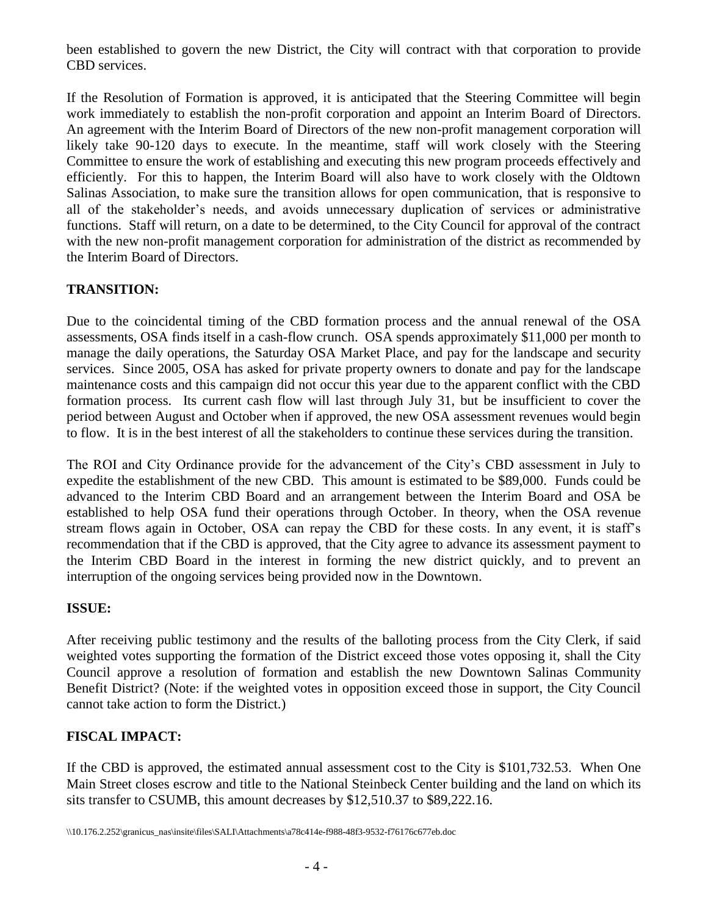been established to govern the new District, the City will contract with that corporation to provide CBD services.

If the Resolution of Formation is approved, it is anticipated that the Steering Committee will begin work immediately to establish the non-profit corporation and appoint an Interim Board of Directors. An agreement with the Interim Board of Directors of the new non-profit management corporation will likely take 90-120 days to execute. In the meantime, staff will work closely with the Steering Committee to ensure the work of establishing and executing this new program proceeds effectively and efficiently. For this to happen, the Interim Board will also have to work closely with the Oldtown Salinas Association, to make sure the transition allows for open communication, that is responsive to all of the stakeholder's needs, and avoids unnecessary duplication of services or administrative functions. Staff will return, on a date to be determined, to the City Council for approval of the contract with the new non-profit management corporation for administration of the district as recommended by the Interim Board of Directors.

# **TRANSITION:**

Due to the coincidental timing of the CBD formation process and the annual renewal of the OSA assessments, OSA finds itself in a cash-flow crunch. OSA spends approximately \$11,000 per month to manage the daily operations, the Saturday OSA Market Place, and pay for the landscape and security services. Since 2005, OSA has asked for private property owners to donate and pay for the landscape maintenance costs and this campaign did not occur this year due to the apparent conflict with the CBD formation process. Its current cash flow will last through July 31, but be insufficient to cover the period between August and October when if approved, the new OSA assessment revenues would begin to flow. It is in the best interest of all the stakeholders to continue these services during the transition.

The ROI and City Ordinance provide for the advancement of the City's CBD assessment in July to expedite the establishment of the new CBD. This amount is estimated to be \$89,000. Funds could be advanced to the Interim CBD Board and an arrangement between the Interim Board and OSA be established to help OSA fund their operations through October. In theory, when the OSA revenue stream flows again in October, OSA can repay the CBD for these costs. In any event, it is staff's recommendation that if the CBD is approved, that the City agree to advance its assessment payment to the Interim CBD Board in the interest in forming the new district quickly, and to prevent an interruption of the ongoing services being provided now in the Downtown.

# **ISSUE:**

After receiving public testimony and the results of the balloting process from the City Clerk, if said weighted votes supporting the formation of the District exceed those votes opposing it, shall the City Council approve a resolution of formation and establish the new Downtown Salinas Community Benefit District? (Note: if the weighted votes in opposition exceed those in support, the City Council cannot take action to form the District.)

# **FISCAL IMPACT:**

If the CBD is approved, the estimated annual assessment cost to the City is \$101,732.53. When One Main Street closes escrow and title to the National Steinbeck Center building and the land on which its sits transfer to CSUMB, this amount decreases by \$12,510.37 to \$89,222.16.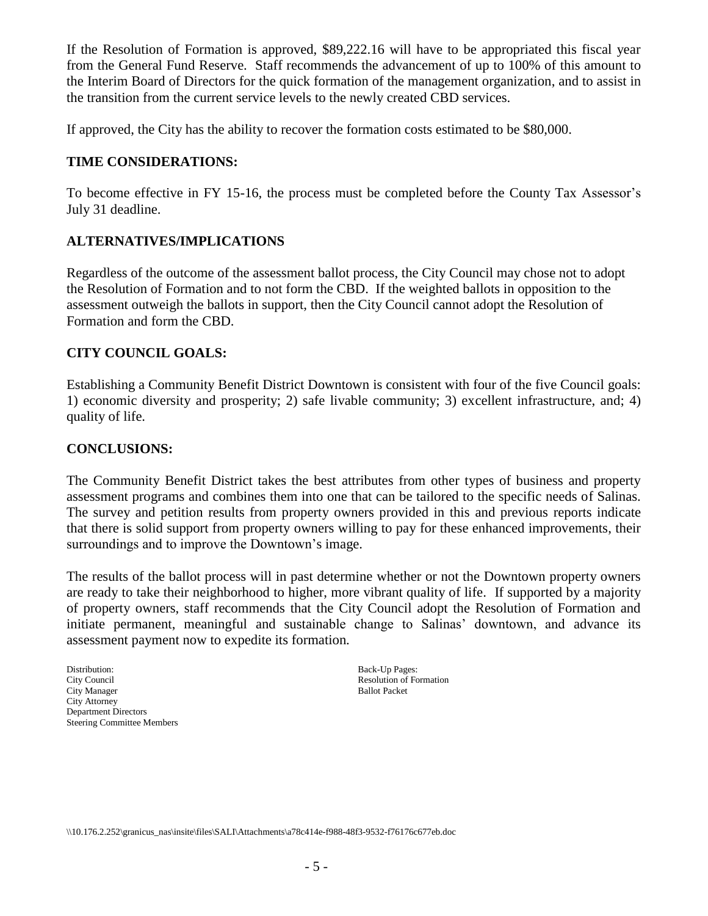If the Resolution of Formation is approved, \$89,222.16 will have to be appropriated this fiscal year from the General Fund Reserve. Staff recommends the advancement of up to 100% of this amount to the Interim Board of Directors for the quick formation of the management organization, and to assist in the transition from the current service levels to the newly created CBD services.

If approved, the City has the ability to recover the formation costs estimated to be \$80,000.

## **TIME CONSIDERATIONS:**

To become effective in FY 15-16, the process must be completed before the County Tax Assessor's July 31 deadline.

## **ALTERNATIVES/IMPLICATIONS**

Regardless of the outcome of the assessment ballot process, the City Council may chose not to adopt the Resolution of Formation and to not form the CBD. If the weighted ballots in opposition to the assessment outweigh the ballots in support, then the City Council cannot adopt the Resolution of Formation and form the CBD.

## **CITY COUNCIL GOALS:**

Establishing a Community Benefit District Downtown is consistent with four of the five Council goals: 1) economic diversity and prosperity; 2) safe livable community; 3) excellent infrastructure, and; 4) quality of life.

## **CONCLUSIONS:**

The Community Benefit District takes the best attributes from other types of business and property assessment programs and combines them into one that can be tailored to the specific needs of Salinas. The survey and petition results from property owners provided in this and previous reports indicate that there is solid support from property owners willing to pay for these enhanced improvements, their surroundings and to improve the Downtown's image.

The results of the ballot process will in past determine whether or not the Downtown property owners are ready to take their neighborhood to higher, more vibrant quality of life. If supported by a majority of property owners, staff recommends that the City Council adopt the Resolution of Formation and initiate permanent, meaningful and sustainable change to Salinas' downtown, and advance its assessment payment now to expedite its formation.

Distribution: Back-Up Pages: City Council Resolution of Formation Resolution of Formation City Manager Ballot Packet City Attorney Department Directors Steering Committee Members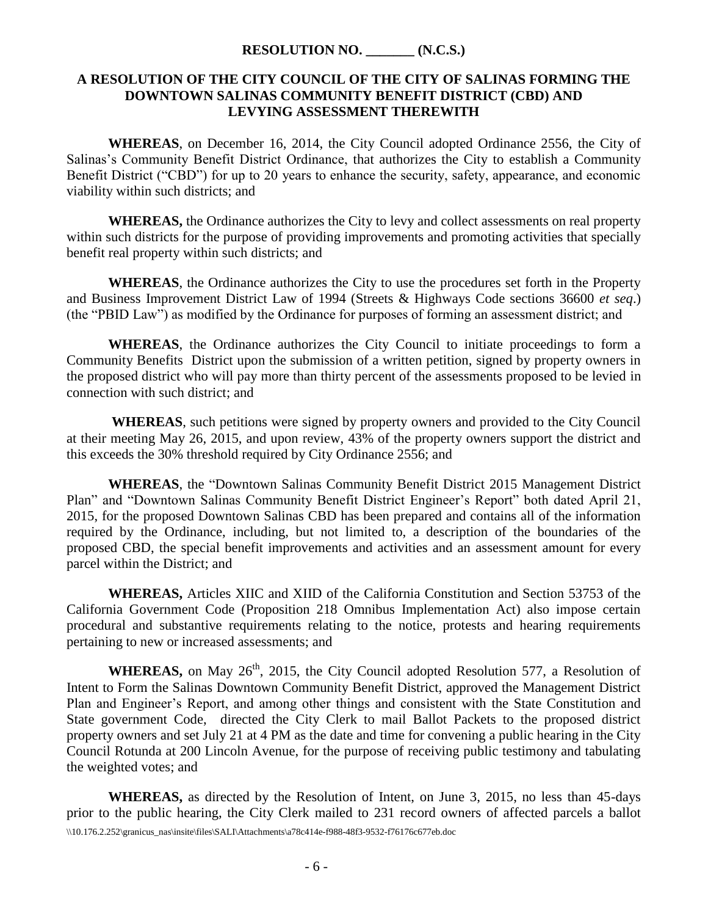#### **RESOLUTION NO. \_\_\_\_\_\_\_ (N.C.S.)**

#### **A RESOLUTION OF THE CITY COUNCIL OF THE CITY OF SALINAS FORMING THE DOWNTOWN SALINAS COMMUNITY BENEFIT DISTRICT (CBD) AND LEVYING ASSESSMENT THEREWITH**

**WHEREAS**, on December 16, 2014, the City Council adopted Ordinance 2556, the City of Salinas's Community Benefit District Ordinance, that authorizes the City to establish a Community Benefit District ("CBD") for up to 20 years to enhance the security, safety, appearance, and economic viability within such districts; and

**WHEREAS,** the Ordinance authorizes the City to levy and collect assessments on real property within such districts for the purpose of providing improvements and promoting activities that specially benefit real property within such districts; and

**WHEREAS**, the Ordinance authorizes the City to use the procedures set forth in the Property and Business Improvement District Law of 1994 (Streets & Highways Code sections 36600 *et seq*.) (the "PBID Law") as modified by the Ordinance for purposes of forming an assessment district; and

**WHEREAS**, the Ordinance authorizes the City Council to initiate proceedings to form a Community Benefits District upon the submission of a written petition, signed by property owners in the proposed district who will pay more than thirty percent of the assessments proposed to be levied in connection with such district; and

**WHEREAS**, such petitions were signed by property owners and provided to the City Council at their meeting May 26, 2015, and upon review, 43% of the property owners support the district and this exceeds the 30% threshold required by City Ordinance 2556; and

**WHEREAS**, the "Downtown Salinas Community Benefit District 2015 Management District Plan" and "Downtown Salinas Community Benefit District Engineer's Report" both dated April 21, 2015, for the proposed Downtown Salinas CBD has been prepared and contains all of the information required by the Ordinance, including, but not limited to, a description of the boundaries of the proposed CBD, the special benefit improvements and activities and an assessment amount for every parcel within the District; and

**WHEREAS,** Articles XIIC and XIID of the California Constitution and Section 53753 of the California Government Code (Proposition 218 Omnibus Implementation Act) also impose certain procedural and substantive requirements relating to the notice, protests and hearing requirements pertaining to new or increased assessments; and

**WHEREAS,** on May 26<sup>th</sup>, 2015, the City Council adopted Resolution 577, a Resolution of Intent to Form the Salinas Downtown Community Benefit District, approved the Management District Plan and Engineer's Report, and among other things and consistent with the State Constitution and State government Code, directed the City Clerk to mail Ballot Packets to the proposed district property owners and set July 21 at 4 PM as the date and time for convening a public hearing in the City Council Rotunda at 200 Lincoln Avenue, for the purpose of receiving public testimony and tabulating the weighted votes; and

\\10.176.2.252\granicus\_nas\insite\files\SALI\Attachments\a78c414e-f988-48f3-9532-f76176c677eb.doc **WHEREAS,** as directed by the Resolution of Intent, on June 3, 2015, no less than 45-days prior to the public hearing, the City Clerk mailed to 231 record owners of affected parcels a ballot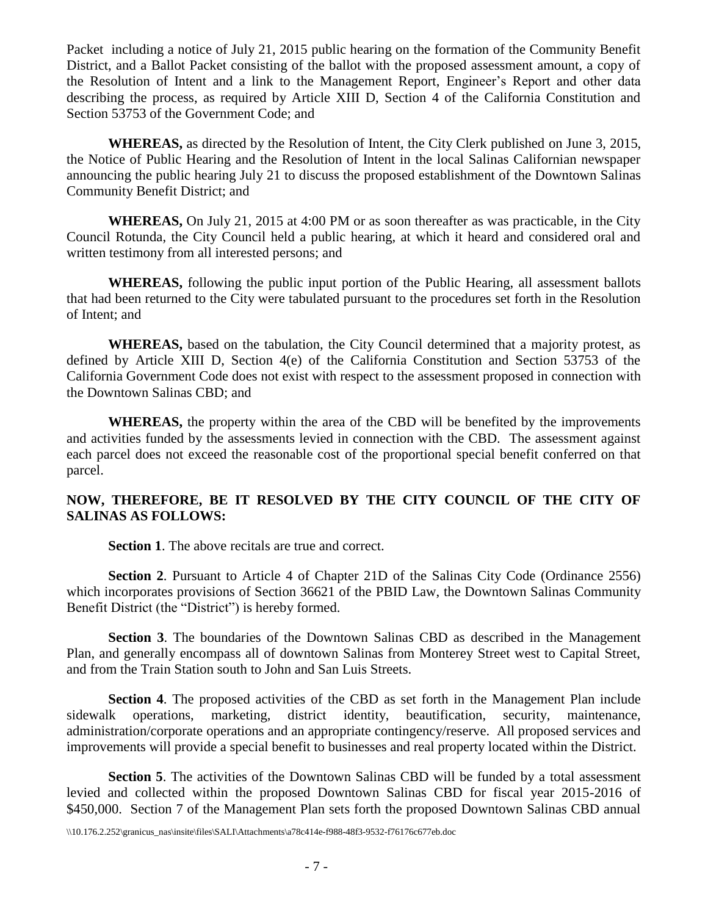Packet including a notice of July 21, 2015 public hearing on the formation of the Community Benefit District, and a Ballot Packet consisting of the ballot with the proposed assessment amount, a copy of the Resolution of Intent and a link to the Management Report, Engineer's Report and other data describing the process, as required by Article XIII D, Section 4 of the California Constitution and Section 53753 of the Government Code; and

**WHEREAS,** as directed by the Resolution of Intent, the City Clerk published on June 3, 2015, the Notice of Public Hearing and the Resolution of Intent in the local Salinas Californian newspaper announcing the public hearing July 21 to discuss the proposed establishment of the Downtown Salinas Community Benefit District; and

**WHEREAS,** On July 21, 2015 at 4:00 PM or as soon thereafter as was practicable, in the City Council Rotunda, the City Council held a public hearing, at which it heard and considered oral and written testimony from all interested persons; and

**WHEREAS,** following the public input portion of the Public Hearing, all assessment ballots that had been returned to the City were tabulated pursuant to the procedures set forth in the Resolution of Intent; and

**WHEREAS,** based on the tabulation, the City Council determined that a majority protest, as defined by Article XIII D, Section 4(e) of the California Constitution and Section 53753 of the California Government Code does not exist with respect to the assessment proposed in connection with the Downtown Salinas CBD; and

**WHEREAS,** the property within the area of the CBD will be benefited by the improvements and activities funded by the assessments levied in connection with the CBD. The assessment against each parcel does not exceed the reasonable cost of the proportional special benefit conferred on that parcel.

## **NOW, THEREFORE, BE IT RESOLVED BY THE CITY COUNCIL OF THE CITY OF SALINAS AS FOLLOWS:**

**Section 1**. The above recitals are true and correct.

**Section 2.** Pursuant to Article 4 of Chapter 21D of the Salinas City Code (Ordinance 2556) which incorporates provisions of Section 36621 of the PBID Law, the Downtown Salinas Community Benefit District (the "District") is hereby formed.

**Section 3**. The boundaries of the Downtown Salinas CBD as described in the Management Plan, and generally encompass all of downtown Salinas from Monterey Street west to Capital Street, and from the Train Station south to John and San Luis Streets.

**Section 4**. The proposed activities of the CBD as set forth in the Management Plan include sidewalk operations, marketing, district identity, beautification, security, maintenance, administration/corporate operations and an appropriate contingency/reserve. All proposed services and improvements will provide a special benefit to businesses and real property located within the District.

**Section 5**. The activities of the Downtown Salinas CBD will be funded by a total assessment levied and collected within the proposed Downtown Salinas CBD for fiscal year 2015-2016 of \$450,000. Section 7 of the Management Plan sets forth the proposed Downtown Salinas CBD annual